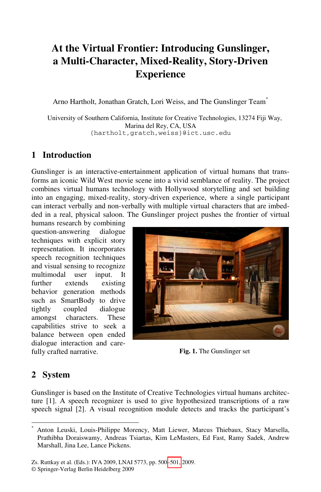# **At the Virtual Frontier: Introducing Gunslinger, a Multi-Character, Mixed-Reality, Story-Driven Experience**

Arno Hartholt, Jonathan Gratch, Lori Weiss, and The Gunslinger Team\*

University of Southern California, Institute for Creative Technologies, 13274 Fiji Way, Marina del Rey, CA, USA {hartholt,gratch,weiss}@ict.usc.edu

## **1 Introduction**

Gunslinger is an interactive-entertainment application of virtual humans that transforms an iconic Wild West movie scene into a vivid semblance of reality. The project combines virtual humans technology with Hollywood storytelling and set building into an engaging, mixed-reality, story-driven experience, where a single participant can interact verbally and non-verbally with multiple virtual characters that are imbedded in a real, physical saloon. The Gunslinger project pushes the frontier of virtual

humans research by combining question-answering dialogue techniques with explicit story representation. It incorporates speech recognition techniques and visual sensing to recognize multimodal user input. It further extends existing behavior generation methods such as SmartBody to drive tightly coupled dialogue amongst characters. These capabilities strive to seek a balance between open ended dialogue interaction and carefully crafted narrative.



**Fig. 1.** The Gunslinger set

### **2 System**

l

Gunslinger is based on the Institute of Creative Technologies virtual humans architecture [1]. A speech recognizer is used to give hypothesized transcriptions of a raw speech signal [2]. A visual recognition module detects and tracks the participant's

<sup>\*</sup> Anton Leuski, Louis-Philippe Morency, Matt Liewer, Marcus Thiebaux, Stacy Marsella, Prathibha Doraiswamy, Andreas Tsiartas, Kim LeMasters, Ed Fast, Ramy Sadek, Andrew Marshall, Jina Lee, Lance Pickens.